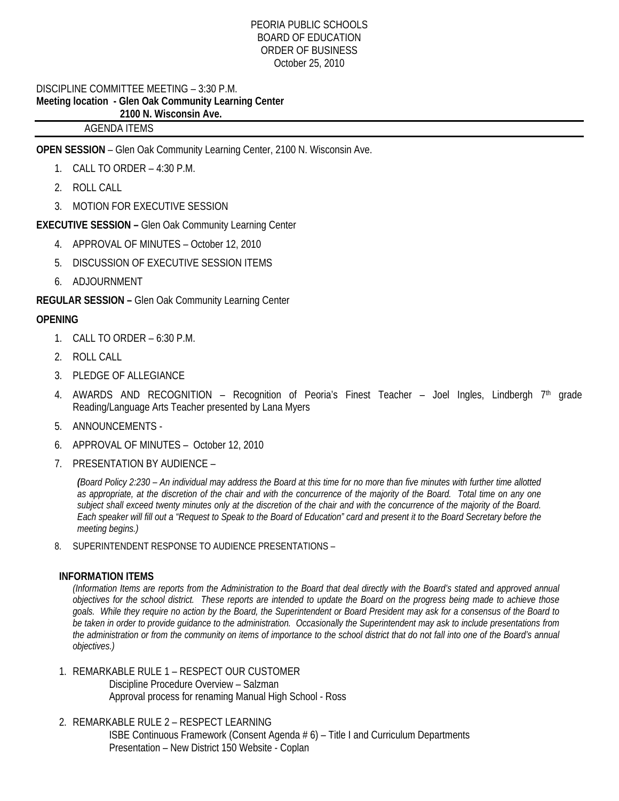#### PEORIA PUBLIC SCHOOLS BOARD OF EDUCATION ORDER OF BUSINESS October 25, 2010

## DISCIPLINE COMMITTEE MEETING – 3:30 P.M. **Meeting location - Glen Oak Community Learning Center 2100 N. Wisconsin Ave.**

# AGENDA ITEMS

**OPEN SESSION** – Glen Oak Community Learning Center, 2100 N. Wisconsin Ave.

- 1. CALL TO ORDER 4:30 P.M.
- 2. ROLL CALL
- 3. MOTION FOR EXECUTIVE SESSION

# **EXECUTIVE SESSION –** Glen Oak Community Learning Center

- 4. APPROVAL OF MINUTES October 12, 2010
- 5. DISCUSSION OF EXECUTIVE SESSION ITEMS
- 6. ADJOURNMENT

**REGULAR SESSION –** Glen Oak Community Learning Center

# **OPENING**

- 1. CALL TO ORDER 6:30 P.M.
- 2. ROLL CALL
- 3. PLEDGE OF ALLEGIANCE
- 4. AWARDS AND RECOGNITION Recognition of Peoria's Finest Teacher Joel Ingles, Lindbergh 7<sup>th</sup> grade Reading/Language Arts Teacher presented by Lana Myers
- 5. ANNOUNCEMENTS -
- 6. APPROVAL OF MINUTES October 12, 2010
- 7. PRESENTATION BY AUDIENCE –

*(Board Policy 2:230 – An individual may address the Board at this time for no more than five minutes with further time allotted as appropriate, at the discretion of the chair and with the concurrence of the majority of the Board. Total time on any one subject shall exceed twenty minutes only at the discretion of the chair and with the concurrence of the majority of the Board. Each speaker will fill out a "Request to Speak to the Board of Education" card and present it to the Board Secretary before the meeting begins.)* 

8. SUPERINTENDENT RESPONSE TO AUDIENCE PRESENTATIONS –

#### **INFORMATION ITEMS**

*(Information Items are reports from the Administration to the Board that deal directly with the Board's stated and approved annual objectives for the school district. These reports are intended to update the Board on the progress being made to achieve those goals. While they require no action by the Board, the Superintendent or Board President may ask for a consensus of the Board to be taken in order to provide guidance to the administration. Occasionally the Superintendent may ask to include presentations from the administration or from the community on items of importance to the school district that do not fall into one of the Board's annual objectives.)* 

- 1. REMARKABLE RULE 1 RESPECT OUR CUSTOMER Discipline Procedure Overview – Salzman Approval process for renaming Manual High School - Ross
- 2. REMARKABLE RULE 2 RESPECT LEARNING ISBE Continuous Framework (Consent Agenda # 6) – Title I and Curriculum Departments Presentation – New District 150 Website - Coplan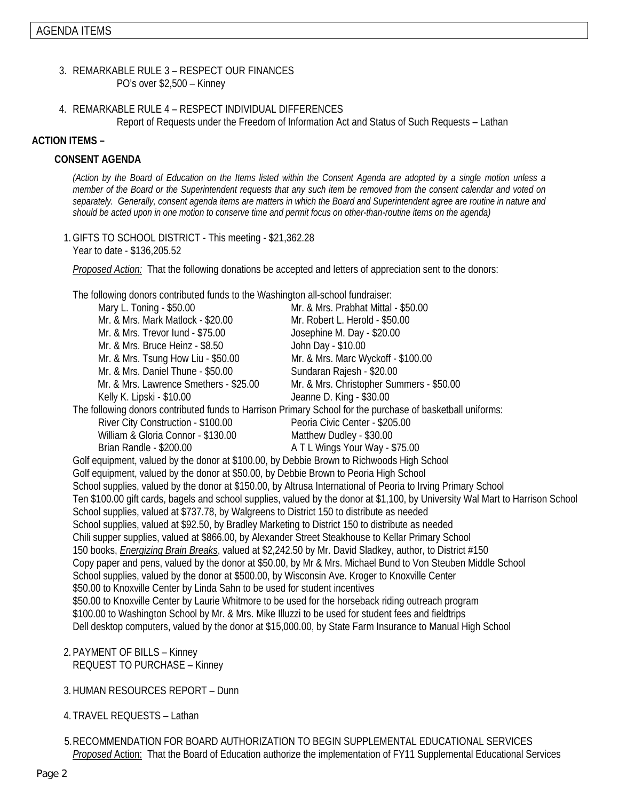- 3. REMARKABLE RULE 3 RESPECT OUR FINANCES PO's over \$2,500 – Kinney
- 4. REMARKABLE RULE 4 RESPECT INDIVIDUAL DIFFERENCES Report of Requests under the Freedom of Information Act and Status of Such Requests – Lathan

## **ACTION ITEMS –**

## **CONSENT AGENDA**

*(Action by the Board of Education on the Items listed within the Consent Agenda are adopted by a single motion unless a member of the Board or the Superintendent requests that any such item be removed from the consent calendar and voted on separately. Generally, consent agenda items are matters in which the Board and Superintendent agree are routine in nature and should be acted upon in one motion to conserve time and permit focus on other-than-routine items on the agenda)* 

1.GIFTS TO SCHOOL DISTRICT - This meeting - \$21,362.28 Year to date - \$136,205.52

*Proposed Action:* That the following donations be accepted and letters of appreciation sent to the donors:

The following donors contributed funds to the Washington all-school fundraiser:

| Mary L. Toning - \$50.00                                                                                        | Mr. & Mrs. Prabhat Mittal - \$50.00                                                                                            |  |
|-----------------------------------------------------------------------------------------------------------------|--------------------------------------------------------------------------------------------------------------------------------|--|
| Mr. & Mrs. Mark Matlock - \$20.00                                                                               | Mr. Robert L. Herold - \$50.00                                                                                                 |  |
| Mr. & Mrs. Trevor lund - \$75.00                                                                                | Josephine M. Day - \$20.00                                                                                                     |  |
| Mr. & Mrs. Bruce Heinz - \$8.50                                                                                 | John Day - \$10.00                                                                                                             |  |
| Mr. & Mrs. Tsung How Liu - \$50.00                                                                              | Mr. & Mrs. Marc Wyckoff - \$100.00                                                                                             |  |
| Mr. & Mrs. Daniel Thune - \$50.00                                                                               | Sundaran Rajesh - \$20.00                                                                                                      |  |
| Mr. & Mrs. Lawrence Smethers - \$25.00                                                                          | Mr. & Mrs. Christopher Summers - \$50.00                                                                                       |  |
| Kelly K. Lipski - \$10.00                                                                                       | Jeanne D. King - \$30.00                                                                                                       |  |
|                                                                                                                 | The following donors contributed funds to Harrison Primary School for the purchase of basketball uniforms:                     |  |
| River City Construction - \$100.00                                                                              | Peoria Civic Center - \$205.00                                                                                                 |  |
| William & Gloria Connor - \$130.00                                                                              | Matthew Dudley - \$30.00                                                                                                       |  |
| Brian Randle - \$200.00                                                                                         | A T L Wings Your Way - \$75.00                                                                                                 |  |
| Golf equipment, valued by the donor at \$100.00, by Debbie Brown to Richwoods High School                       |                                                                                                                                |  |
| Golf equipment, valued by the donor at \$50.00, by Debbie Brown to Peoria High School                           |                                                                                                                                |  |
|                                                                                                                 | School supplies, valued by the donor at \$150.00, by Altrusa International of Peoria to Irving Primary School                  |  |
|                                                                                                                 | Ten \$100.00 gift cards, bagels and school supplies, valued by the donor at \$1,100, by University Wal Mart to Harrison School |  |
| School supplies, valued at \$737.78, by Walgreens to District 150 to distribute as needed                       |                                                                                                                                |  |
| School supplies, valued at \$92.50, by Bradley Marketing to District 150 to distribute as needed                |                                                                                                                                |  |
| Chili supper supplies, valued at \$866.00, by Alexander Street Steakhouse to Kellar Primary School              |                                                                                                                                |  |
| 150 books, <i>Energizing Brain Breaks</i> , valued at \$2,242.50 by Mr. David Sladkey, author, to District #150 |                                                                                                                                |  |
|                                                                                                                 | Copy paper and pens, valued by the donor at \$50.00, by Mr & Mrs. Michael Bund to Von Steuben Middle School                    |  |
| School supplies, valued by the donor at \$500.00, by Wisconsin Ave. Kroger to Knoxville Center                  |                                                                                                                                |  |
| \$50.00 to Knoxville Center by Linda Sahn to be used for student incentives                                     |                                                                                                                                |  |
| \$50.00 to Knoxville Center by Laurie Whitmore to be used for the horseback riding outreach program             |                                                                                                                                |  |
| \$100.00 to Washington School by Mr. & Mrs. Mike Illuzzi to be used for student fees and fieldtrips             |                                                                                                                                |  |
|                                                                                                                 | Dell desktop computers, valued by the donor at \$15,000.00, by State Farm Insurance to Manual High School                      |  |
|                                                                                                                 |                                                                                                                                |  |

- 2. PAYMENT OF BILLS Kinney REQUEST TO PURCHASE – Kinney
- 3.HUMAN RESOURCES REPORT Dunn
- 4. TRAVEL REQUESTS Lathan
- 5. RECOMMENDATION FOR BOARD AUTHORIZATION TO BEGIN SUPPLEMENTAL EDUCATIONAL SERVICES *Proposed* Action: That the Board of Education authorize the implementation of FY11 Supplemental Educational Services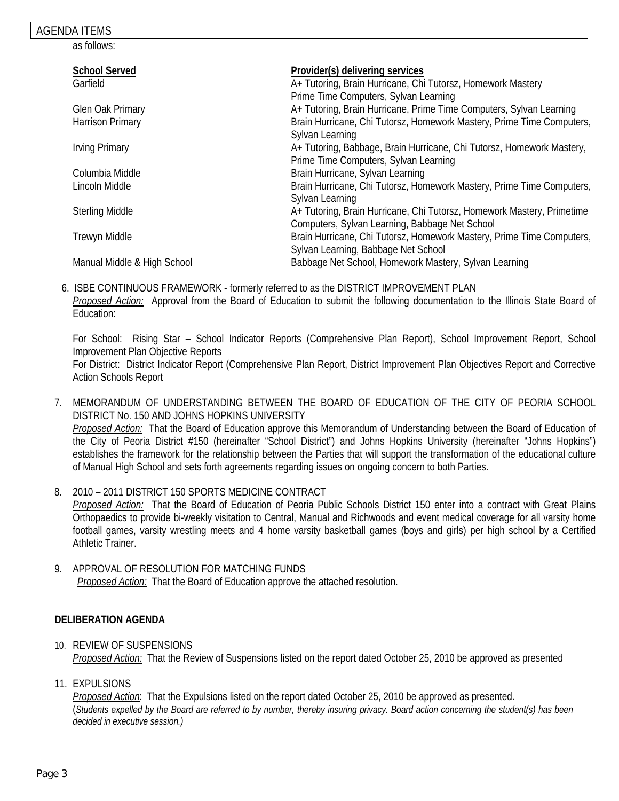## AGENDA ITEMS

as follows:

| <b>School Served</b>        | Provider(s) delivering services                                        |
|-----------------------------|------------------------------------------------------------------------|
| Garfield                    | A+ Tutoring, Brain Hurricane, Chi Tutorsz, Homework Mastery            |
|                             | Prime Time Computers, Sylvan Learning                                  |
| Glen Oak Primary            | A+ Tutoring, Brain Hurricane, Prime Time Computers, Sylvan Learning    |
| Harrison Primary            | Brain Hurricane, Chi Tutorsz, Homework Mastery, Prime Time Computers,  |
|                             | Sylvan Learning                                                        |
| <b>Irving Primary</b>       | A+ Tutoring, Babbage, Brain Hurricane, Chi Tutorsz, Homework Mastery,  |
|                             | Prime Time Computers, Sylvan Learning                                  |
| Columbia Middle             | Brain Hurricane, Sylvan Learning                                       |
| Lincoln Middle              | Brain Hurricane, Chi Tutorsz, Homework Mastery, Prime Time Computers,  |
|                             | Sylvan Learning                                                        |
| <b>Sterling Middle</b>      | A+ Tutoring, Brain Hurricane, Chi Tutorsz, Homework Mastery, Primetime |
|                             | Computers, Sylvan Learning, Babbage Net School                         |
| Trewyn Middle               | Brain Hurricane, Chi Tutorsz, Homework Mastery, Prime Time Computers,  |
|                             | Sylvan Learning, Babbage Net School                                    |
| Manual Middle & High School | Babbage Net School, Homework Mastery, Sylvan Learning                  |
|                             |                                                                        |

 6. ISBE CONTINUOUS FRAMEWORK - formerly referred to as the DISTRICT IMPROVEMENT PLAN *Proposed Action:* Approval from the Board of Education to submit the following documentation to the Illinois State Board of Education:

For School: Rising Star – School Indicator Reports (Comprehensive Plan Report), School Improvement Report, School Improvement Plan Objective Reports For District: District Indicator Report (Comprehensive Plan Report, District Improvement Plan Objectives Report and Corrective

Action Schools Report

- 7. MEMORANDUM OF UNDERSTANDING BETWEEN THE BOARD OF EDUCATION OF THE CITY OF PEORIA SCHOOL DISTRICT No. 150 AND JOHNS HOPKINS UNIVERSITY *Proposed Action:* That the Board of Education approve this Memorandum of Understanding between the Board of Education of the City of Peoria District #150 (hereinafter "School District") and Johns Hopkins University (hereinafter "Johns Hopkins") establishes the framework for the relationship between the Parties that will support the transformation of the educational culture of Manual High School and sets forth agreements regarding issues on ongoing concern to both Parties.
- 8. 2010 2011 DISTRICT 150 SPORTS MEDICINE CONTRACT *Proposed Action:* That the Board of Education of Peoria Public Schools District 150 enter into a contract with Great Plains Orthopaedics to provide bi-weekly visitation to Central, Manual and Richwoods and event medical coverage for all varsity home football games, varsity wrestling meets and 4 home varsity basketball games (boys and girls) per high school by a Certified Athletic Trainer.
- 9. APPROVAL OF RESOLUTION FOR MATCHING FUNDS *Proposed Action:* That the Board of Education approve the attached resolution.

## **DELIBERATION AGENDA**

- 10. REVIEW OF SUSPENSIONS *Proposed Action:* That the Review of Suspensions listed on the report dated October 25, 2010 be approved as presented
- 11. EXPULSIONS

*Proposed Action*: That the Expulsions listed on the report dated October 25, 2010 be approved as presented. (*Students expelled by the Board are referred to by number, thereby insuring privacy. Board action concerning the student(s) has been decided in executive session.)*